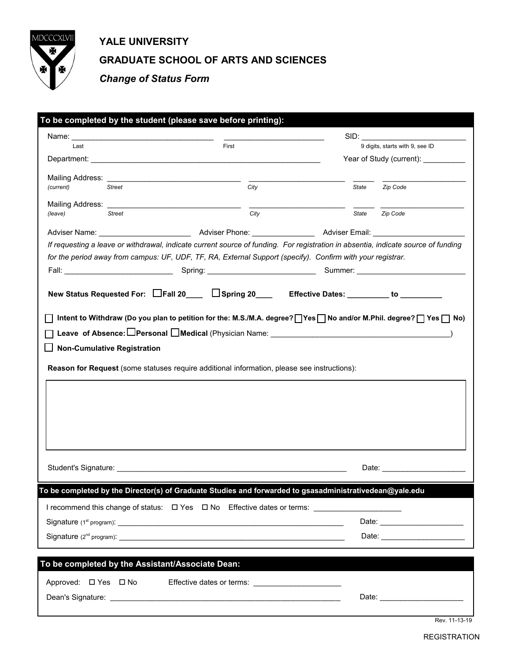

## **YALE UNIVERSITY GRADUATE SCHOOL OF ARTS AND SCIENCES**

*Change of Status Form*

| To be completed by the student (please save before printing): |                                                  |                                                                                                                                   |       |                                     |  |
|---------------------------------------------------------------|--------------------------------------------------|-----------------------------------------------------------------------------------------------------------------------------------|-------|-------------------------------------|--|
|                                                               |                                                  |                                                                                                                                   |       |                                     |  |
| Last                                                          |                                                  | First                                                                                                                             |       | 9 digits, starts with 9, see ID     |  |
|                                                               |                                                  |                                                                                                                                   |       | Year of Study (current): __________ |  |
| Mailing Address: _                                            |                                                  | City                                                                                                                              |       |                                     |  |
| (current)                                                     | Street                                           |                                                                                                                                   |       | State Zip Code                      |  |
|                                                               |                                                  |                                                                                                                                   |       |                                     |  |
| (leave)                                                       | <b>Street</b>                                    | City                                                                                                                              | State | Zip Code                            |  |
|                                                               |                                                  |                                                                                                                                   |       |                                     |  |
|                                                               |                                                  | If requesting a leave or withdrawal, indicate current source of funding. For registration in absentia, indicate source of funding |       |                                     |  |
|                                                               |                                                  | for the period away from campus: UF, UDF, TF, RA, External Support (specify). Confirm with your registrar.                        |       |                                     |  |
|                                                               |                                                  |                                                                                                                                   |       |                                     |  |
|                                                               |                                                  |                                                                                                                                   |       |                                     |  |
|                                                               |                                                  | New Status Requested For: □Fall 20___ □Spring 20___ Effective Dates: ________ to ________                                         |       |                                     |  |
|                                                               | <b>Non-Cumulative Registration</b>               | Leave of Absence: □Personal □Medical (Physician Name: □                                                                           |       |                                     |  |
|                                                               |                                                  | Reason for Request (some statuses require additional information, please see instructions):                                       |       |                                     |  |
|                                                               |                                                  |                                                                                                                                   |       |                                     |  |
|                                                               |                                                  | To be completed by the Director(s) of Graduate Studies and forwarded to gsasadministrativedean@yale.edu                           |       |                                     |  |
|                                                               |                                                  |                                                                                                                                   |       |                                     |  |
|                                                               |                                                  | I recommend this change of status: $\Box$ Yes $\Box$ No Effective dates or terms:                                                 |       |                                     |  |
|                                                               |                                                  |                                                                                                                                   |       |                                     |  |
|                                                               |                                                  |                                                                                                                                   |       |                                     |  |
|                                                               | To be completed by the Assistant/Associate Dean: |                                                                                                                                   |       |                                     |  |
|                                                               |                                                  |                                                                                                                                   |       |                                     |  |
| Approved: □ Yes □ No                                          |                                                  | Effective dates or terms: Effective dates or terms:                                                                               |       |                                     |  |